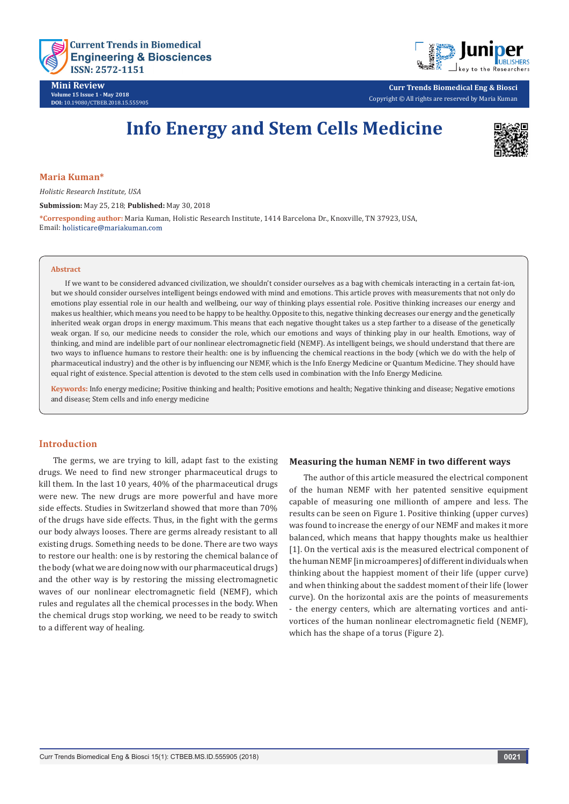

**Mini Review Volume 15 Issue 1 - May 2018 DOI:** [10.19080/CTBEB.2018.15.5559](http://dx.doi.org/10.19080/CTBEB.2018.15.555905)05



**Curr Trends Biomedical Eng & Biosci** Copyright © All rights are reserved by Maria Kuman

# **Info Energy and Stem Cells Medicine**



## **Maria Kuman\***

*Holistic Research Institute, USA*

**Submission:** May 25, 218; **Published:** May 30, 2018

**\*Corresponding author:** Maria Kuman, Holistic Research Institute, 1414 Barcelona Dr., Knoxville, TN 37923, USA, Email: holisticare@mariakuman.com

#### **Abstract**

If we want to be considered advanced civilization, we shouldn't consider ourselves as a bag with chemicals interacting in a certain fat-ion, but we should consider ourselves intelligent beings endowed with mind and emotions. This article proves with measurements that not only do emotions play essential role in our health and wellbeing, our way of thinking plays essential role. Positive thinking increases our energy and makes us healthier, which means you need to be happy to be healthy. Opposite to this, negative thinking decreases our energy and the genetically inherited weak organ drops in energy maximum. This means that each negative thought takes us a step farther to a disease of the genetically weak organ. If so, our medicine needs to consider the role, which our emotions and ways of thinking play in our health. Emotions, way of thinking, and mind are indelible part of our nonlinear electromagnetic field (NEMF). As intelligent beings, we should understand that there are two ways to influence humans to restore their health: one is by influencing the chemical reactions in the body (which we do with the help of pharmaceutical industry) and the other is by influencing our NEMF, which is the Info Energy Medicine or Quantum Medicine. They should have equal right of existence. Special attention is devoted to the stem cells used in combination with the Info Energy Medicine.

**Keywords:** Info energy medicine; Positive thinking and health; Positive emotions and health; Negative thinking and disease; Negative emotions and disease; Stem cells and info energy medicine

# **Introduction**

The germs, we are trying to kill, adapt fast to the existing drugs. We need to find new stronger pharmaceutical drugs to kill them. In the last 10 years, 40% of the pharmaceutical drugs were new. The new drugs are more powerful and have more side effects. Studies in Switzerland showed that more than 70% of the drugs have side effects. Thus, in the fight with the germs our body always looses. There are germs already resistant to all existing drugs. Something needs to be done. There are two ways to restore our health: one is by restoring the chemical balance of the body (what we are doing now with our pharmaceutical drugs) and the other way is by restoring the missing electromagnetic waves of our nonlinear electromagnetic field (NEMF), which rules and regulates all the chemical processes in the body. When the chemical drugs stop working, we need to be ready to switch to a different way of healing.

#### **Measuring the human NEMF in two different ways**

The author of this article measured the electrical component of the human NEMF with her patented sensitive equipment capable of measuring one millionth of ampere and less. The results can be seen on Figure 1. Positive thinking (upper curves) was found to increase the energy of our NEMF and makes it more balanced, which means that happy thoughts make us healthier [1]. On the vertical axis is the measured electrical component of the human NEMF [in microamperes] of different individuals when thinking about the happiest moment of their life (upper curve) and when thinking about the saddest moment of their life (lower curve). On the horizontal axis are the points of measurements - the energy centers, which are alternating vortices and antivortices of the human nonlinear electromagnetic field (NEMF), which has the shape of a torus (Figure 2).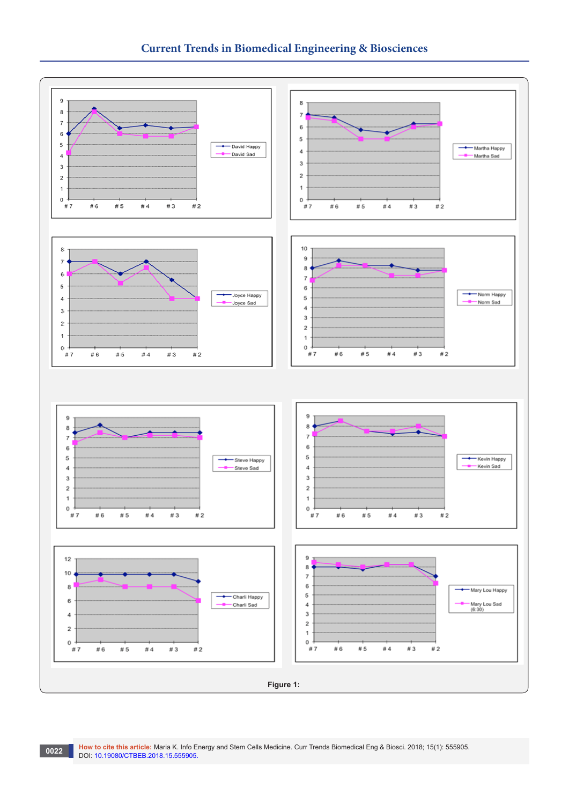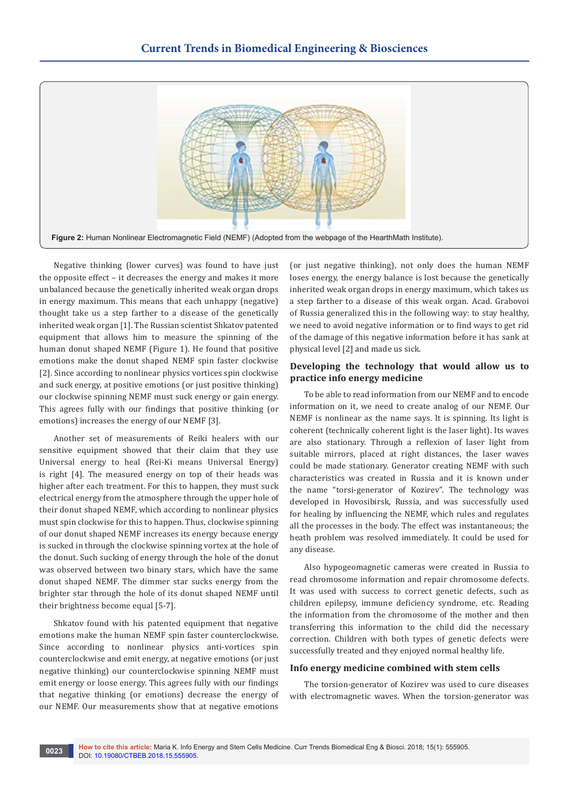

Negative thinking (lower curves) was found to have just the opposite effect – it decreases the energy and makes it more unbalanced because the genetically inherited weak organ drops in energy maximum. This means that each unhappy (negative) thought take us a step farther to a disease of the genetically inherited weak organ [1]. The Russian scientist Shkatov patented equipment that allows him to measure the spinning of the human donut shaped NEMF (Figure 1). He found that positive emotions make the donut shaped NEMF spin faster clockwise [2]. Since according to nonlinear physics vortices spin clockwise and suck energy, at positive emotions (or just positive thinking) our clockwise spinning NEMF must suck energy or gain energy. This agrees fully with our findings that positive thinking (or emotions) increases the energy of our NEMF [3].

Another set of measurements of Reiki healers with our sensitive equipment showed that their claim that they use Universal energy to heal (Rei-Ki means Universal Energy) is right [4]. The measured energy on top of their heads was higher after each treatment. For this to happen, they must suck electrical energy from the atmosphere through the upper hole of their donut shaped NEMF, which according to nonlinear physics must spin clockwise for this to happen. Thus, clockwise spinning of our donut shaped NEMF increases its energy because energy is sucked in through the clockwise spinning vortex at the hole of the donut. Such sucking of energy through the hole of the donut was observed between two binary stars, which have the same donut shaped NEMF. The dimmer star sucks energy from the brighter star through the hole of its donut shaped NEMF until their brightness become equal [5-7].

Shkatov found with his patented equipment that negative emotions make the human NEMF spin faster counterclockwise. Since according to nonlinear physics anti-vortices spin counterclockwise and emit energy, at negative emotions (or just negative thinking) our counterclockwise spinning NEMF must emit energy or loose energy. This agrees fully with our findings that negative thinking (or emotions) decrease the energy of our NEMF. Our measurements show that at negative emotions

(or just negative thinking), not only does the human NEMF loses energy, the energy balance is lost because the genetically inherited weak organ drops in energy maximum, which takes us a step farther to a disease of this weak organ. Acad. Grabovoi of Russia generalized this in the following way: to stay healthy, we need to avoid negative information or to find ways to get rid of the damage of this negative information before it has sank at physical level [2] and made us sick.

# **Developing the technology that would allow us to practice info energy medicine**

To be able to read information from our NEMF and to encode information on it, we need to create analog of our NEMF. Our NEMF is nonlinear as the name says. It is spinning. Its light is coherent (technically coherent light is the laser light). Its waves are also stationary. Through a reflexion of laser light from suitable mirrors, placed at right distances, the laser waves could be made stationary. Generator creating NEMF with such characteristics was created in Russia and it is known under the name "torsi-generator of Kozirev". The technology was developed in Hovosibirsk, Russia, and was successfully used for healing by influencing the NEMF, which rules and regulates all the processes in the body. The effect was instantaneous; the heath problem was resolved immediately. It could be used for any disease.

Also hypogeomagnetic cameras were created in Russia to read chromosome information and repair chromosome defects. It was used with success to correct genetic defects, such as children epilepsy, immune deficiency syndrome, etc. Reading the information from the chromosome of the mother and then transferring this information to the child did the necessary correction. Children with both types of genetic defects were successfully treated and they enjoyed normal healthy life.

# **Info energy medicine combined with stem cells**

The torsion-generator of Kozirev was used to cure diseases with electromagnetic waves. When the torsion-generator was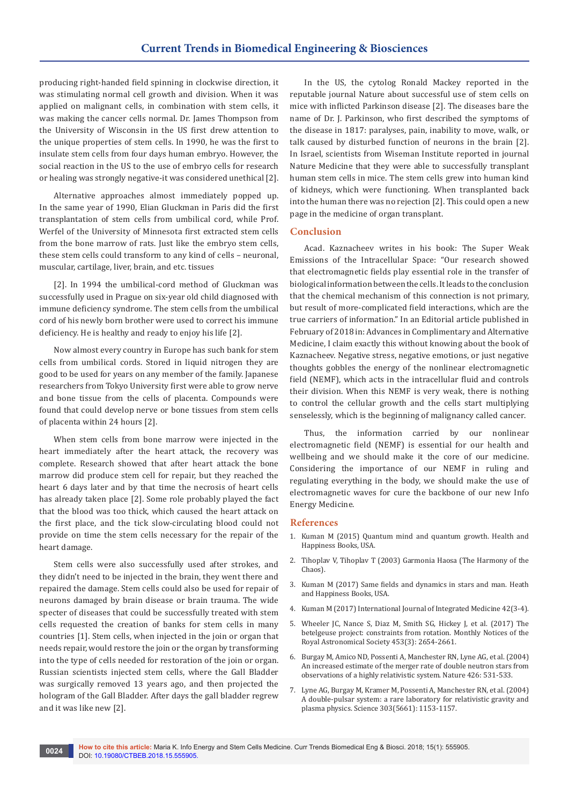producing right-handed field spinning in clockwise direction, it was stimulating normal cell growth and division. When it was applied on malignant cells, in combination with stem cells, it was making the cancer cells normal. Dr. James Thompson from the University of Wisconsin in the US first drew attention to the unique properties of stem cells. In 1990, he was the first to insulate stem cells from four days human embryo. However, the social reaction in the US to the use of embryo cells for research or healing was strongly negative-it was considered unethical [2].

Alternative approaches almost immediately popped up. In the same year of 1990, Elian Gluckman in Paris did the first transplantation of stem cells from umbilical cord, while Prof. Werfel of the University of Minnesota first extracted stem cells from the bone marrow of rats. Just like the embryo stem cells, these stem cells could transform to any kind of cells – neuronal, muscular, cartilage, liver, brain, and etc. tissues

[2]. In 1994 the umbilical-cord method of Gluckman was successfully used in Prague on six-year old child diagnosed with immune deficiency syndrome. The stem cells from the umbilical cord of his newly born brother were used to correct his immune deficiency. He is healthy and ready to enjoy his life [2].

Now almost every country in Europe has such bank for stem cells from umbilical cords. Stored in liquid nitrogen they are good to be used for years on any member of the family. Japanese researchers from Tokyo University first were able to grow nerve and bone tissue from the cells of placenta. Compounds were found that could develop nerve or bone tissues from stem cells of placenta within 24 hours [2].

When stem cells from bone marrow were injected in the heart immediately after the heart attack, the recovery was complete. Research showed that after heart attack the bone marrow did produce stem cell for repair, but they reached the heart 6 days later and by that time the necrosis of heart cells has already taken place [2]. Some role probably played the fact that the blood was too thick, which caused the heart attack on the first place, and the tick slow-circulating blood could not provide on time the stem cells necessary for the repair of the heart damage.

Stem cells were also successfully used after strokes, and they didn't need to be injected in the brain, they went there and repaired the damage. Stem cells could also be used for repair of neurons damaged by brain disease or brain trauma. The wide specter of diseases that could be successfully treated with stem cells requested the creation of banks for stem cells in many countries [1]. Stem cells, when injected in the join or organ that needs repair, would restore the join or the organ by transforming into the type of cells needed for restoration of the join or organ. Russian scientists injected stem cells, where the Gall Bladder was surgically removed 13 years ago, and then projected the hologram of the Gall Bladder. After days the gall bladder regrew and it was like new [2].

In the US, the cytolog Ronald Mackey reported in the reputable journal Nature about successful use of stem cells on mice with inflicted Parkinson disease [2]. The diseases bare the name of Dr. J. Parkinson, who first described the symptoms of the disease in 1817: paralyses, pain, inability to move, walk, or talk caused by disturbed function of neurons in the brain [2]. In Israel, scientists from Wiseman Institute reported in journal Nature Medicine that they were able to successfully transplant human stem cells in mice. The stem cells grew into human kind of kidneys, which were functioning. When transplanted back into the human there was no rejection [2]. This could open a new page in the medicine of organ transplant.

# **Conclusion**

Acad. Kaznacheev writes in his book: The Super Weak Emissions of the Intracellular Space: "Our research showed that electromagnetic fields play essential role in the transfer of biological information between the cells. It leads to the conclusion that the chemical mechanism of this connection is not primary, but result of more-complicated field interactions, which are the true carriers of information." In an Editorial article published in February of 2018 in: Advances in Complimentary and Alternative Medicine, I claim exactly this without knowing about the book of Kaznacheev. Negative stress, negative emotions, or just negative thoughts gobbles the energy of the nonlinear electromagnetic field (NEMF), which acts in the intracellular fluid and controls their division. When this NEMF is very weak, there is nothing to control the cellular growth and the cells start multiplying senselessly, which is the beginning of malignancy called cancer.

Thus, the information carried by our nonlinear electromagnetic field (NEMF) is essential for our health and wellbeing and we should make it the core of our medicine. Considering the importance of our NEMF in ruling and regulating everything in the body, we should make the use of electromagnetic waves for cure the backbone of our new Info Energy Medicine.

## **References**

- 1. Kuman M (2015) Quantum mind and quantum growth. Health and Happiness Books, USA.
- 2. Tihoplav V, Tihoplav T (2003) Garmonia Haosa (The Harmony of the Chaos).
- 3. Kuman M (2017) Same fields and dynamics in stars and man. Heath and Happiness Books, USA.
- 4. Kuman M (2017) International Journal of Integrated Medicine 42(3-4).
- 5. Wheeler JC, Nance S, Diaz M, Smith SG, Hickey J, et al. (2017) The betelgeuse project: constraints from rotation. Monthly Notices of the Royal Astronomical Society 453(3): 2654-2661.
- 6. [Burgay M, Amico ND, Possenti A, Manchester RN, Lyne AG, et al. \(2004\)](https://www.ncbi.nlm.nih.gov/pubmed/14654834)  [An increased estimate of the merger rate of double neutron stars from](https://www.ncbi.nlm.nih.gov/pubmed/14654834)  [observations of a highly relativistic system. Nature 426: 531-533](https://www.ncbi.nlm.nih.gov/pubmed/14654834).
- 7. [Lyne AG, Burgay M, Kramer M, Possenti A, Manchester RN, et al. \(2004\)](https://www.ncbi.nlm.nih.gov/pubmed/14716022)  [A double-pulsar system: a rare laboratory for relativistic gravity and](https://www.ncbi.nlm.nih.gov/pubmed/14716022)  [plasma physics. Science 303\(5661\): 1153-1157](https://www.ncbi.nlm.nih.gov/pubmed/14716022).